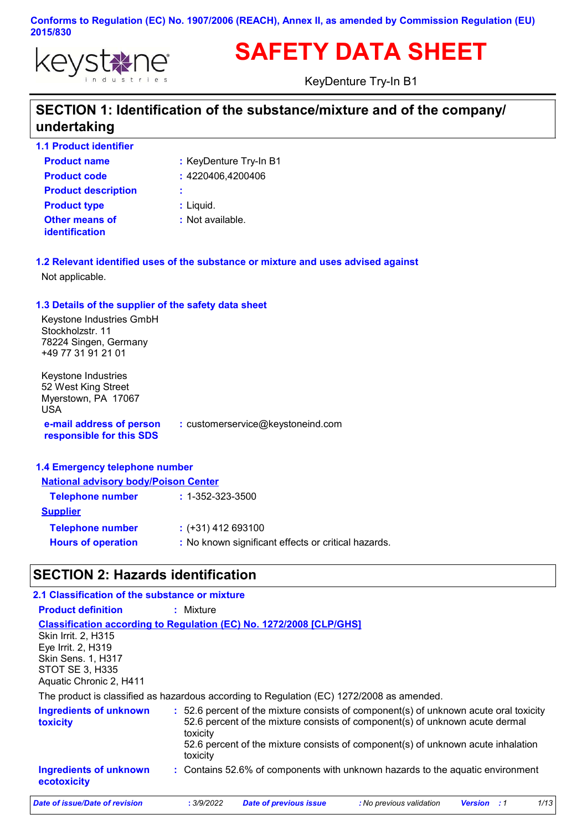

# **SAFETY DATA SHEET**

KeyDenture Try-In B1

### **SECTION 1: Identification of the substance/mixture and of the company/ undertaking**

**1.1 Product identifier**

| <b>Product name</b>                     | : KeyDenture Try-In B1 |
|-----------------------------------------|------------------------|
| <b>Product code</b>                     | : 4220406,4200406      |
| <b>Product description</b>              | ÷                      |
| <b>Product type</b>                     | : Liquid.              |
| Other means of<br><i>identification</i> | : Not available.       |

**1.2 Relevant identified uses of the substance or mixture and uses advised against** Not applicable.

#### **1.3 Details of the supplier of the safety data sheet**

Keystone Industries GmbH Stockholzstr. 11 78224 Singen, Germany +49 77 31 91 21 01

**e-mail address of person responsible for this SDS :** customerservice@keystoneind.com Keystone Industries 52 West King Street Myerstown, PA 17067 USA

#### **1.4 Emergency telephone number**

| <b>National advisory body/Poison Center</b>         |  |  |  |
|-----------------------------------------------------|--|--|--|
| <b>Telephone number</b><br>$: 1 - 352 - 323 - 3500$ |  |  |  |
|                                                     |  |  |  |
| $:$ (+31) 412 693100                                |  |  |  |
| : No known significant effects or critical hazards. |  |  |  |
|                                                     |  |  |  |

### **SECTION 2: Hazards identification**

| 2.1 Classification of the substance or mixture                                                                              |                                                                                                                                                                                                                                                                                   |
|-----------------------------------------------------------------------------------------------------------------------------|-----------------------------------------------------------------------------------------------------------------------------------------------------------------------------------------------------------------------------------------------------------------------------------|
| <b>Product definition</b>                                                                                                   | $:$ Mixture                                                                                                                                                                                                                                                                       |
| <b>Skin Irrit. 2. H315</b><br>Eye Irrit. 2, H319<br>Skin Sens. 1, H317<br><b>STOT SE 3, H335</b><br>Aquatic Chronic 2, H411 | <b>Classification according to Regulation (EC) No. 1272/2008 [CLP/GHS]</b>                                                                                                                                                                                                        |
|                                                                                                                             | The product is classified as hazardous according to Regulation (EC) 1272/2008 as amended.                                                                                                                                                                                         |
| <b>Ingredients of unknown</b><br><b>toxicity</b>                                                                            | : 52.6 percent of the mixture consists of component(s) of unknown acute oral toxicity<br>52.6 percent of the mixture consists of component(s) of unknown acute dermal<br>toxicity<br>52.6 percent of the mixture consists of component(s) of unknown acute inhalation<br>toxicity |
| <b>Ingredients of unknown</b><br>ecotoxicity                                                                                | : Contains 52.6% of components with unknown hazards to the aquatic environment                                                                                                                                                                                                    |
| Date of issue/Date of revision                                                                                              | 1/13<br><b>Date of previous issue</b><br>: 3/9/2022<br>: No previous validation<br><b>Version</b> : 1                                                                                                                                                                             |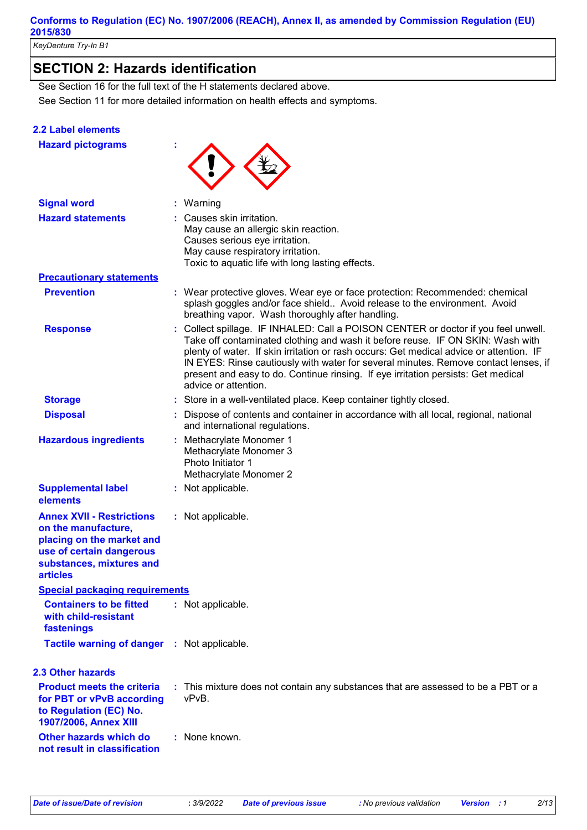*KeyDenture Try-In B1*

## **SECTION 2: Hazards identification**

See Section 11 for more detailed information on health effects and symptoms. See Section 16 for the full text of the H statements declared above.

#### **2.2 Label elements**

| <b>Hazard pictograms</b>                                                                                                                                        |                                                                                                                                                                                                                                                                                                                                                                                                                                                                     |
|-----------------------------------------------------------------------------------------------------------------------------------------------------------------|---------------------------------------------------------------------------------------------------------------------------------------------------------------------------------------------------------------------------------------------------------------------------------------------------------------------------------------------------------------------------------------------------------------------------------------------------------------------|
| <b>Signal word</b>                                                                                                                                              | Warning                                                                                                                                                                                                                                                                                                                                                                                                                                                             |
| <b>Hazard statements</b>                                                                                                                                        | Causes skin irritation.<br>May cause an allergic skin reaction.<br>Causes serious eye irritation.<br>May cause respiratory irritation.<br>Toxic to aquatic life with long lasting effects.                                                                                                                                                                                                                                                                          |
| <b>Precautionary statements</b>                                                                                                                                 |                                                                                                                                                                                                                                                                                                                                                                                                                                                                     |
| <b>Prevention</b>                                                                                                                                               | : Wear protective gloves. Wear eye or face protection: Recommended: chemical<br>splash goggles and/or face shield Avoid release to the environment. Avoid<br>breathing vapor. Wash thoroughly after handling.                                                                                                                                                                                                                                                       |
| <b>Response</b>                                                                                                                                                 | : Collect spillage. IF INHALED: Call a POISON CENTER or doctor if you feel unwell.<br>Take off contaminated clothing and wash it before reuse. IF ON SKIN: Wash with<br>plenty of water. If skin irritation or rash occurs: Get medical advice or attention. IF<br>IN EYES: Rinse cautiously with water for several minutes. Remove contact lenses, if<br>present and easy to do. Continue rinsing. If eye irritation persists: Get medical<br>advice or attention. |
| <b>Storage</b>                                                                                                                                                  | : Store in a well-ventilated place. Keep container tightly closed.                                                                                                                                                                                                                                                                                                                                                                                                  |
| <b>Disposal</b>                                                                                                                                                 | Dispose of contents and container in accordance with all local, regional, national<br>and international regulations.                                                                                                                                                                                                                                                                                                                                                |
| <b>Hazardous ingredients</b>                                                                                                                                    | : Methacrylate Monomer 1<br>Methacrylate Monomer 3<br>Photo Initiator 1<br>Methacrylate Monomer 2                                                                                                                                                                                                                                                                                                                                                                   |
| <b>Supplemental label</b><br>elements                                                                                                                           | : Not applicable.                                                                                                                                                                                                                                                                                                                                                                                                                                                   |
| <b>Annex XVII - Restrictions</b><br>on the manufacture,<br>placing on the market and<br>use of certain dangerous<br>substances, mixtures and<br><b>articles</b> | : Not applicable.                                                                                                                                                                                                                                                                                                                                                                                                                                                   |
| <b>Special packaging requirements</b>                                                                                                                           |                                                                                                                                                                                                                                                                                                                                                                                                                                                                     |
| <b>Containers to be fitted</b><br>with child-resistant<br>fastenings                                                                                            | : Not applicable.                                                                                                                                                                                                                                                                                                                                                                                                                                                   |
| Tactile warning of danger : Not applicable.                                                                                                                     |                                                                                                                                                                                                                                                                                                                                                                                                                                                                     |
| <b>2.3 Other hazards</b>                                                                                                                                        |                                                                                                                                                                                                                                                                                                                                                                                                                                                                     |
| <b>Product meets the criteria</b><br>for PBT or vPvB according<br>to Regulation (EC) No.<br>1907/2006, Annex XIII                                               | : This mixture does not contain any substances that are assessed to be a PBT or a<br>vPvB.                                                                                                                                                                                                                                                                                                                                                                          |
| Other hazards which do<br>not result in classification                                                                                                          | : None known.                                                                                                                                                                                                                                                                                                                                                                                                                                                       |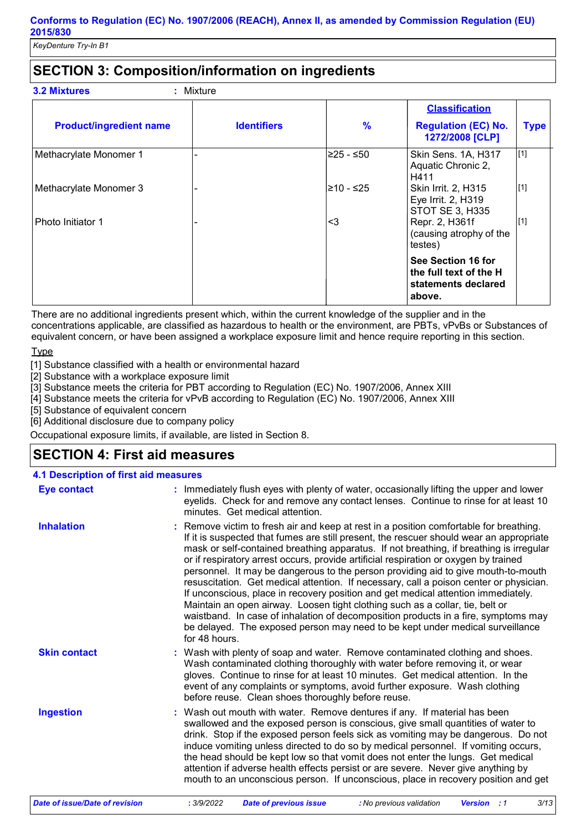### **SECTION 3: Composition/information on ingredients**

|  | <b>3.2 Mixtures</b> |  | : Mixture |
|--|---------------------|--|-----------|
|--|---------------------|--|-----------|

| <b>Product/ingredient name</b> | <b>Identifiers</b> | $\frac{9}{6}$ | <b>Classification</b><br><b>Regulation (EC) No.</b><br>1272/2008 [CLP]        | <b>Type</b> |
|--------------------------------|--------------------|---------------|-------------------------------------------------------------------------------|-------------|
| Methacrylate Monomer 1         |                    | l≥25 - ≤50    | Skin Sens. 1A, H317<br>Aquatic Chronic 2,<br>H411                             | [1]         |
| Methacrylate Monomer 3         |                    | l≥10 - ≤25    | Skin Irrit. 2, H315<br>Eye Irrit. 2, H319<br><b>STOT SE 3, H335</b>           | $\vert$ [1] |
| Photo Initiator 1              |                    | <3            | Repr. 2, H361f<br>(causing atrophy of the<br>testes)                          | [1]         |
|                                |                    |               | See Section 16 for<br>the full text of the H<br>statements declared<br>above. |             |

There are no additional ingredients present which, within the current knowledge of the supplier and in the concentrations applicable, are classified as hazardous to health or the environment, are PBTs, vPvBs or Substances of equivalent concern, or have been assigned a workplace exposure limit and hence require reporting in this section.

Type

[1] Substance classified with a health or environmental hazard

[2] Substance with a workplace exposure limit

[3] Substance meets the criteria for PBT according to Regulation (EC) No. 1907/2006, Annex XIII

[4] Substance meets the criteria for vPvB according to Regulation (EC) No. 1907/2006, Annex XIII

[5] Substance of equivalent concern

[6] Additional disclosure due to company policy

Occupational exposure limits, if available, are listed in Section 8.

### **SECTION 4: First aid measures**

| <b>4.1 Description of first aid measures</b> |                                                                                                                                                                                                                                                                                                                                                                                                                                                                                                                                                                                                                                                                                                                                                                                                                                                                                                                   |
|----------------------------------------------|-------------------------------------------------------------------------------------------------------------------------------------------------------------------------------------------------------------------------------------------------------------------------------------------------------------------------------------------------------------------------------------------------------------------------------------------------------------------------------------------------------------------------------------------------------------------------------------------------------------------------------------------------------------------------------------------------------------------------------------------------------------------------------------------------------------------------------------------------------------------------------------------------------------------|
| <b>Eye contact</b>                           | : Immediately flush eyes with plenty of water, occasionally lifting the upper and lower<br>eyelids. Check for and remove any contact lenses. Continue to rinse for at least 10<br>minutes. Get medical attention.                                                                                                                                                                                                                                                                                                                                                                                                                                                                                                                                                                                                                                                                                                 |
| <b>Inhalation</b>                            | : Remove victim to fresh air and keep at rest in a position comfortable for breathing.<br>If it is suspected that fumes are still present, the rescuer should wear an appropriate<br>mask or self-contained breathing apparatus. If not breathing, if breathing is irregular<br>or if respiratory arrest occurs, provide artificial respiration or oxygen by trained<br>personnel. It may be dangerous to the person providing aid to give mouth-to-mouth<br>resuscitation. Get medical attention. If necessary, call a poison center or physician.<br>If unconscious, place in recovery position and get medical attention immediately.<br>Maintain an open airway. Loosen tight clothing such as a collar, tie, belt or<br>waistband. In case of inhalation of decomposition products in a fire, symptoms may<br>be delayed. The exposed person may need to be kept under medical surveillance<br>for 48 hours. |
| <b>Skin contact</b>                          | : Wash with plenty of soap and water. Remove contaminated clothing and shoes.<br>Wash contaminated clothing thoroughly with water before removing it, or wear<br>gloves. Continue to rinse for at least 10 minutes. Get medical attention. In the<br>event of any complaints or symptoms, avoid further exposure. Wash clothing<br>before reuse. Clean shoes thoroughly before reuse.                                                                                                                                                                                                                                                                                                                                                                                                                                                                                                                             |
| <b>Ingestion</b>                             | : Wash out mouth with water. Remove dentures if any. If material has been<br>swallowed and the exposed person is conscious, give small quantities of water to<br>drink. Stop if the exposed person feels sick as vomiting may be dangerous. Do not<br>induce vomiting unless directed to do so by medical personnel. If vomiting occurs,<br>the head should be kept low so that vomit does not enter the lungs. Get medical<br>attention if adverse health effects persist or are severe. Never give anything by<br>mouth to an unconscious person. If unconscious, place in recovery position and get                                                                                                                                                                                                                                                                                                            |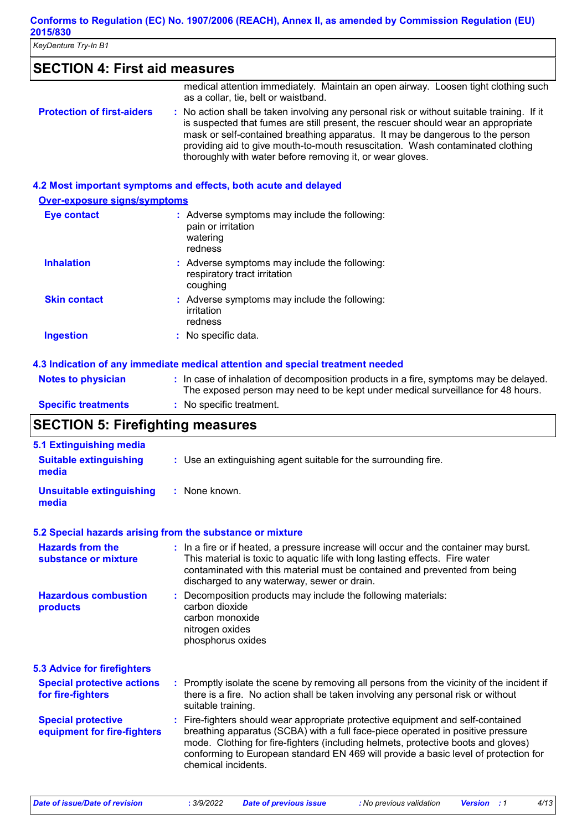### **SECTION 4: First aid measures**

|                                   | medical attention immediately. Maintain an open airway. Loosen tight clothing such<br>as a collar, tie, belt or waistband.                                                                                                                                                                                                                                                                                      |
|-----------------------------------|-----------------------------------------------------------------------------------------------------------------------------------------------------------------------------------------------------------------------------------------------------------------------------------------------------------------------------------------------------------------------------------------------------------------|
| <b>Protection of first-aiders</b> | : No action shall be taken involving any personal risk or without suitable training. If it<br>is suspected that fumes are still present, the rescuer should wear an appropriate<br>mask or self-contained breathing apparatus. It may be dangerous to the person<br>providing aid to give mouth-to-mouth resuscitation. Wash contaminated clothing<br>thoroughly with water before removing it, or wear gloves. |

#### **4.2 Most important symptoms and effects, both acute and delayed**

| <b>Over-exposure signs/symptoms</b> |                                                                                            |  |  |
|-------------------------------------|--------------------------------------------------------------------------------------------|--|--|
| Eye contact                         | : Adverse symptoms may include the following:<br>pain or irritation<br>watering<br>redness |  |  |
| <b>Inhalation</b>                   | : Adverse symptoms may include the following:<br>respiratory tract irritation<br>coughing  |  |  |
| <b>Skin contact</b>                 | : Adverse symptoms may include the following:<br>irritation<br>redness                     |  |  |
| <b>Ingestion</b>                    | : No specific data.                                                                        |  |  |

#### **4.3 Indication of any immediate medical attention and special treatment needed**

| <b>Notes to physician</b>  | : In case of inhalation of decomposition products in a fire, symptoms may be delayed.<br>The exposed person may need to be kept under medical surveillance for 48 hours. |
|----------------------------|--------------------------------------------------------------------------------------------------------------------------------------------------------------------------|
| <b>Specific treatments</b> | : No specific treatment.                                                                                                                                                 |

### **SECTION 5: Firefighting measures**

| <b>5.1 Extinguishing media</b><br><b>Suitable extinguishing</b><br>media | : Use an extinguishing agent suitable for the surrounding fire.                                                                                                                                                                                                                                                                                                       |
|--------------------------------------------------------------------------|-----------------------------------------------------------------------------------------------------------------------------------------------------------------------------------------------------------------------------------------------------------------------------------------------------------------------------------------------------------------------|
| <b>Unsuitable extinguishing</b><br>media                                 | : None known.                                                                                                                                                                                                                                                                                                                                                         |
| 5.2 Special hazards arising from the substance or mixture                |                                                                                                                                                                                                                                                                                                                                                                       |
| <b>Hazards from the</b><br>substance or mixture                          | : In a fire or if heated, a pressure increase will occur and the container may burst.<br>This material is toxic to aquatic life with long lasting effects. Fire water<br>contaminated with this material must be contained and prevented from being<br>discharged to any waterway, sewer or drain.                                                                    |
| <b>Hazardous combustion</b><br>products                                  | : Decomposition products may include the following materials:<br>carbon dioxide<br>carbon monoxide<br>nitrogen oxides<br>phosphorus oxides                                                                                                                                                                                                                            |
| <b>5.3 Advice for firefighters</b>                                       |                                                                                                                                                                                                                                                                                                                                                                       |
| <b>Special protective actions</b><br>for fire-fighters                   | : Promptly isolate the scene by removing all persons from the vicinity of the incident if<br>there is a fire. No action shall be taken involving any personal risk or without<br>suitable training.                                                                                                                                                                   |
| <b>Special protective</b><br>equipment for fire-fighters                 | : Fire-fighters should wear appropriate protective equipment and self-contained<br>breathing apparatus (SCBA) with a full face-piece operated in positive pressure<br>mode. Clothing for fire-fighters (including helmets, protective boots and gloves)<br>conforming to European standard EN 469 will provide a basic level of protection for<br>chemical incidents. |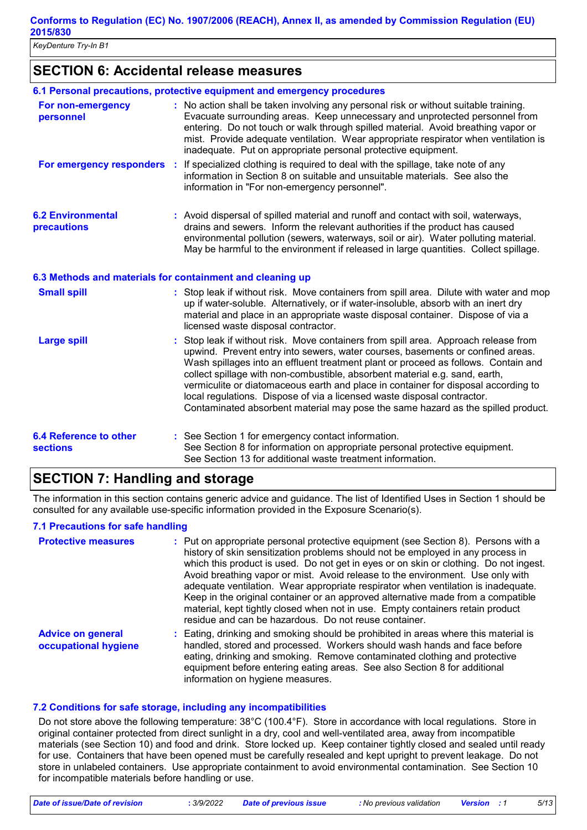### **SECTION 6: Accidental release measures**

|                                                  | 6.1 Personal precautions, protective equipment and emergency procedures                                                                                                                                                                                                                                                                                                                                                                                                                                                                                                                       |
|--------------------------------------------------|-----------------------------------------------------------------------------------------------------------------------------------------------------------------------------------------------------------------------------------------------------------------------------------------------------------------------------------------------------------------------------------------------------------------------------------------------------------------------------------------------------------------------------------------------------------------------------------------------|
| For non-emergency<br>personnel                   | : No action shall be taken involving any personal risk or without suitable training.<br>Evacuate surrounding areas. Keep unnecessary and unprotected personnel from<br>entering. Do not touch or walk through spilled material. Avoid breathing vapor or<br>mist. Provide adequate ventilation. Wear appropriate respirator when ventilation is<br>inadequate. Put on appropriate personal protective equipment.                                                                                                                                                                              |
| For emergency responders :                       | If specialized clothing is required to deal with the spillage, take note of any<br>information in Section 8 on suitable and unsuitable materials. See also the<br>information in "For non-emergency personnel".                                                                                                                                                                                                                                                                                                                                                                               |
| <b>6.2 Environmental</b><br>precautions          | : Avoid dispersal of spilled material and runoff and contact with soil, waterways,<br>drains and sewers. Inform the relevant authorities if the product has caused<br>environmental pollution (sewers, waterways, soil or air). Water polluting material.<br>May be harmful to the environment if released in large quantities. Collect spillage.                                                                                                                                                                                                                                             |
|                                                  | 6.3 Methods and materials for containment and cleaning up                                                                                                                                                                                                                                                                                                                                                                                                                                                                                                                                     |
| <b>Small spill</b>                               | : Stop leak if without risk. Move containers from spill area. Dilute with water and mop<br>up if water-soluble. Alternatively, or if water-insoluble, absorb with an inert dry<br>material and place in an appropriate waste disposal container. Dispose of via a<br>licensed waste disposal contractor.                                                                                                                                                                                                                                                                                      |
| <b>Large spill</b>                               | Stop leak if without risk. Move containers from spill area. Approach release from<br>upwind. Prevent entry into sewers, water courses, basements or confined areas.<br>Wash spillages into an effluent treatment plant or proceed as follows. Contain and<br>collect spillage with non-combustible, absorbent material e.g. sand, earth,<br>vermiculite or diatomaceous earth and place in container for disposal according to<br>local regulations. Dispose of via a licensed waste disposal contractor.<br>Contaminated absorbent material may pose the same hazard as the spilled product. |
| <b>6.4 Reference to other</b><br><b>sections</b> | : See Section 1 for emergency contact information.<br>See Section 8 for information on appropriate personal protective equipment.<br>See Section 13 for additional waste treatment information.                                                                                                                                                                                                                                                                                                                                                                                               |

### **SECTION 7: Handling and storage**

The information in this section contains generic advice and guidance. The list of Identified Uses in Section 1 should be consulted for any available use-specific information provided in the Exposure Scenario(s).

#### **7.1 Precautions for safe handling**

| <b>Protective measures</b>                       | : Put on appropriate personal protective equipment (see Section 8). Persons with a<br>history of skin sensitization problems should not be employed in any process in<br>which this product is used. Do not get in eyes or on skin or clothing. Do not ingest.<br>Avoid breathing vapor or mist. Avoid release to the environment. Use only with<br>adequate ventilation. Wear appropriate respirator when ventilation is inadequate.<br>Keep in the original container or an approved alternative made from a compatible<br>material, kept tightly closed when not in use. Empty containers retain product<br>residue and can be hazardous. Do not reuse container. |
|--------------------------------------------------|----------------------------------------------------------------------------------------------------------------------------------------------------------------------------------------------------------------------------------------------------------------------------------------------------------------------------------------------------------------------------------------------------------------------------------------------------------------------------------------------------------------------------------------------------------------------------------------------------------------------------------------------------------------------|
| <b>Advice on general</b><br>occupational hygiene | : Eating, drinking and smoking should be prohibited in areas where this material is<br>handled, stored and processed. Workers should wash hands and face before<br>eating, drinking and smoking. Remove contaminated clothing and protective<br>equipment before entering eating areas. See also Section 8 for additional<br>information on hygiene measures.                                                                                                                                                                                                                                                                                                        |

#### **7.2 Conditions for safe storage, including any incompatibilities**

Do not store above the following temperature: 38°C (100.4°F). Store in accordance with local regulations. Store in original container protected from direct sunlight in a dry, cool and well-ventilated area, away from incompatible materials (see Section 10) and food and drink. Store locked up. Keep container tightly closed and sealed until ready for use. Containers that have been opened must be carefully resealed and kept upright to prevent leakage. Do not store in unlabeled containers. Use appropriate containment to avoid environmental contamination. See Section 10 for incompatible materials before handling or use.

*Date of issue/Date of revision* **:** *3/9/2022 Date of previous issue : No previous validation Version : 1 5/13*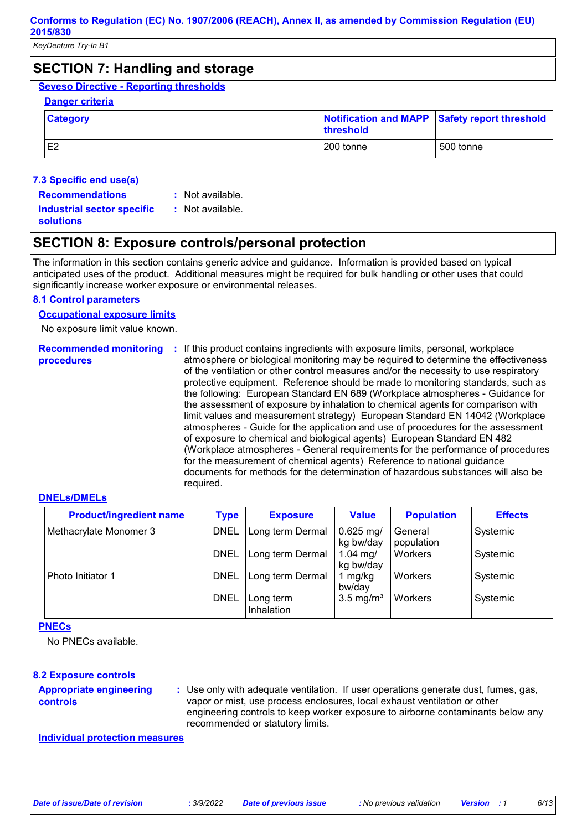### **SECTION 7: Handling and storage**

### **Seveso Directive - Reporting thresholds**

#### **Danger criteria**

| <b>Category</b> | <b>threshold</b> | Notification and MAPP Safety report threshold |
|-----------------|------------------|-----------------------------------------------|
| E <sub>2</sub>  | 200 tonne        | 500 tonne                                     |

#### **7.3 Specific end use(s)**

**Recommendations :**

: Not available. : Not available.

**Industrial sector specific : solutions**

### **SECTION 8: Exposure controls/personal protection**

The information in this section contains generic advice and guidance. Information is provided based on typical anticipated uses of the product. Additional measures might be required for bulk handling or other uses that could significantly increase worker exposure or environmental releases.

#### **8.1 Control parameters**

#### **Occupational exposure limits**

No exposure limit value known.

**Recommended monitoring procedures :** If this product contains ingredients with exposure limits, personal, workplace atmosphere or biological monitoring may be required to determine the effectiveness of the ventilation or other control measures and/or the necessity to use respiratory protective equipment. Reference should be made to monitoring standards, such as the following: European Standard EN 689 (Workplace atmospheres - Guidance for the assessment of exposure by inhalation to chemical agents for comparison with limit values and measurement strategy) European Standard EN 14042 (Workplace atmospheres - Guide for the application and use of procedures for the assessment of exposure to chemical and biological agents) European Standard EN 482 (Workplace atmospheres - General requirements for the performance of procedures for the measurement of chemical agents) Reference to national guidance documents for methods for the determination of hazardous substances will also be required.

#### **DNELs/DMELs**

| <b>Product/ingredient name</b> | <b>Type</b> | <b>Exposure</b>         | <b>Value</b>             | <b>Population</b>     | <b>Effects</b> |
|--------------------------------|-------------|-------------------------|--------------------------|-----------------------|----------------|
| Methacrylate Monomer 3         | <b>DNEL</b> | Long term Dermal        | $0.625$ mg/<br>kg bw/day | General<br>population | Systemic       |
|                                | <b>DNEL</b> | Long term Dermal        | 1.04 mg/<br>kg bw/day    | Workers               | Systemic       |
| Photo Initiator 1              | <b>DNEL</b> | Long term Dermal        | mg/kg<br>bw/day          | Workers               | Systemic       |
|                                | <b>DNEL</b> | Long term<br>Inhalation | $3.5 \text{ mg/m}^3$     | Workers               | Systemic       |

#### **PNECs**

No PNECs available.

#### **8.2 Exposure controls**

#### **Appropriate engineering controls**

**:** Use only with adequate ventilation. If user operations generate dust, fumes, gas, vapor or mist, use process enclosures, local exhaust ventilation or other engineering controls to keep worker exposure to airborne contaminants below any recommended or statutory limits.

#### **Individual protection measures**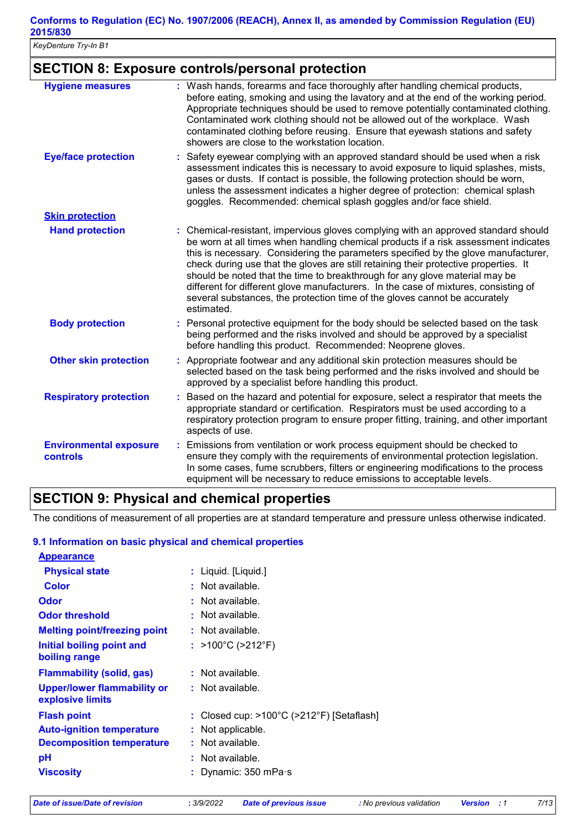*KeyDenture Try-In B1*

### **SECTION 8: Exposure controls/personal protection**

| <b>Hygiene measures</b>                          | : Wash hands, forearms and face thoroughly after handling chemical products,<br>before eating, smoking and using the lavatory and at the end of the working period.<br>Appropriate techniques should be used to remove potentially contaminated clothing.<br>Contaminated work clothing should not be allowed out of the workplace. Wash<br>contaminated clothing before reusing. Ensure that eyewash stations and safety<br>showers are close to the workstation location.                                                                                                                                               |
|--------------------------------------------------|---------------------------------------------------------------------------------------------------------------------------------------------------------------------------------------------------------------------------------------------------------------------------------------------------------------------------------------------------------------------------------------------------------------------------------------------------------------------------------------------------------------------------------------------------------------------------------------------------------------------------|
| <b>Eye/face protection</b>                       | Safety eyewear complying with an approved standard should be used when a risk<br>assessment indicates this is necessary to avoid exposure to liquid splashes, mists,<br>gases or dusts. If contact is possible, the following protection should be worn,<br>unless the assessment indicates a higher degree of protection: chemical splash<br>goggles. Recommended: chemical splash goggles and/or face shield.                                                                                                                                                                                                           |
| <b>Skin protection</b>                           |                                                                                                                                                                                                                                                                                                                                                                                                                                                                                                                                                                                                                           |
| <b>Hand protection</b>                           | : Chemical-resistant, impervious gloves complying with an approved standard should<br>be worn at all times when handling chemical products if a risk assessment indicates<br>this is necessary. Considering the parameters specified by the glove manufacturer,<br>check during use that the gloves are still retaining their protective properties. It<br>should be noted that the time to breakthrough for any glove material may be<br>different for different glove manufacturers. In the case of mixtures, consisting of<br>several substances, the protection time of the gloves cannot be accurately<br>estimated. |
| <b>Body protection</b>                           | Personal protective equipment for the body should be selected based on the task<br>being performed and the risks involved and should be approved by a specialist<br>before handling this product. Recommended: Neoprene gloves.                                                                                                                                                                                                                                                                                                                                                                                           |
| <b>Other skin protection</b>                     | : Appropriate footwear and any additional skin protection measures should be<br>selected based on the task being performed and the risks involved and should be<br>approved by a specialist before handling this product.                                                                                                                                                                                                                                                                                                                                                                                                 |
| <b>Respiratory protection</b>                    | Based on the hazard and potential for exposure, select a respirator that meets the<br>appropriate standard or certification. Respirators must be used according to a<br>respiratory protection program to ensure proper fitting, training, and other important<br>aspects of use.                                                                                                                                                                                                                                                                                                                                         |
| <b>Environmental exposure</b><br><b>controls</b> | Emissions from ventilation or work process equipment should be checked to<br>ensure they comply with the requirements of environmental protection legislation.<br>In some cases, fume scrubbers, filters or engineering modifications to the process<br>equipment will be necessary to reduce emissions to acceptable levels.                                                                                                                                                                                                                                                                                             |

### **SECTION 9: Physical and chemical properties**

The conditions of measurement of all properties are at standard temperature and pressure unless otherwise indicated.

#### **9.1 Information on basic physical and chemical properties**

| <b>Appearance</b>                                      |                                                                |
|--------------------------------------------------------|----------------------------------------------------------------|
| <b>Physical state</b>                                  | : Liquid. [Liquid.]                                            |
| <b>Color</b>                                           | $:$ Not available.                                             |
| <b>Odor</b>                                            | $:$ Not available.                                             |
| <b>Odor threshold</b>                                  | $:$ Not available.                                             |
| <b>Melting point/freezing point</b>                    | $:$ Not available.                                             |
| Initial boiling point and<br>boiling range             | : $>100^{\circ}$ C ( $>212^{\circ}$ F)                         |
| <b>Flammability (solid, gas)</b>                       | $:$ Not available.                                             |
| <b>Upper/lower flammability or</b><br>explosive limits | $:$ Not available.                                             |
| <b>Flash point</b>                                     | : Closed cup: $>100^{\circ}$ C ( $>212^{\circ}$ F) [Setaflash] |
| <b>Auto-ignition temperature</b>                       | : Not applicable.                                              |
| <b>Decomposition temperature</b>                       | $:$ Not available.                                             |
| рH                                                     | : Not available.                                               |
| <b>Viscosity</b>                                       | Dynamic: 350 mPa·s                                             |
|                                                        |                                                                |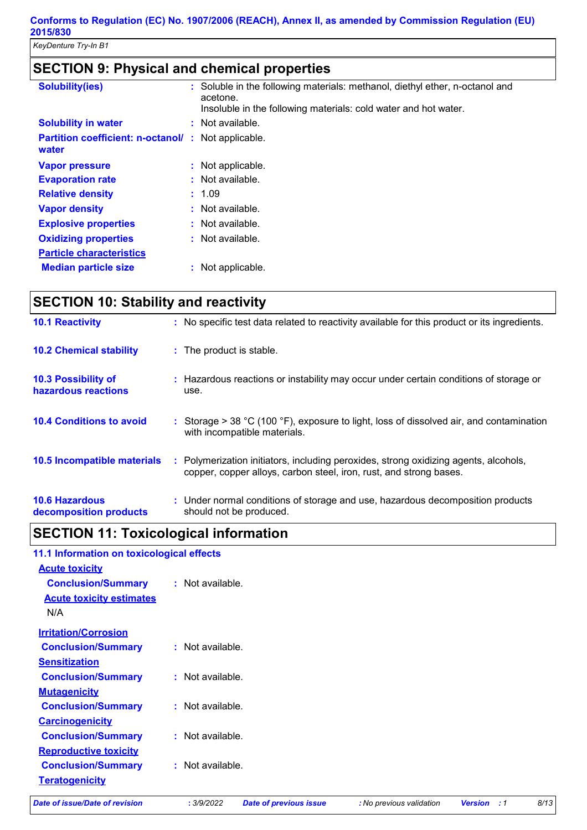# **SECTION 9: Physical and chemical properties**

| <b>Solubility(ies)</b>                                              | : Soluble in the following materials: methanol, diethyl ether, n-octanol and<br>acetone.<br>Insoluble in the following materials: cold water and hot water. |
|---------------------------------------------------------------------|-------------------------------------------------------------------------------------------------------------------------------------------------------------|
| <b>Solubility in water</b>                                          | : Not available.                                                                                                                                            |
| <b>Partition coefficient: n-octanol/ : Not applicable.</b><br>water |                                                                                                                                                             |
| <b>Vapor pressure</b>                                               | : Not applicable.                                                                                                                                           |
| <b>Evaporation rate</b>                                             | : Not available.                                                                                                                                            |
| <b>Relative density</b>                                             | : 1.09                                                                                                                                                      |
| <b>Vapor density</b>                                                | $:$ Not available.                                                                                                                                          |
| <b>Explosive properties</b>                                         | : Not available.                                                                                                                                            |
| <b>Oxidizing properties</b>                                         | : Not available.                                                                                                                                            |
| <b>Particle characteristics</b>                                     |                                                                                                                                                             |
| <b>Median particle size</b>                                         | : Not applicable.                                                                                                                                           |

| <b>SECTION 10: Stability and reactivity</b>     |                                                                                                                                                            |
|-------------------------------------------------|------------------------------------------------------------------------------------------------------------------------------------------------------------|
| <b>10.1 Reactivity</b>                          | : No specific test data related to reactivity available for this product or its ingredients.                                                               |
| <b>10.2 Chemical stability</b>                  | : The product is stable.                                                                                                                                   |
| 10.3 Possibility of<br>hazardous reactions      | : Hazardous reactions or instability may occur under certain conditions of storage or<br>use.                                                              |
| <b>10.4 Conditions to avoid</b>                 | : Storage > 38 °C (100 °F), exposure to light, loss of dissolved air, and contamination<br>with incompatible materials.                                    |
| <b>10.5 Incompatible materials</b>              | : Polymerization initiators, including peroxides, strong oxidizing agents, alcohols,<br>copper, copper alloys, carbon steel, iron, rust, and strong bases. |
| <b>10.6 Hazardous</b><br>decomposition products | : Under normal conditions of storage and use, hazardous decomposition products<br>should not be produced.                                                  |

### **SECTION 11: Toxicological information**

### **11.1 Information on toxicological effects**

| <u>Acute toxicity</u>           |                    |
|---------------------------------|--------------------|
| <b>Conclusion/Summary</b>       | $:$ Not available. |
| <b>Acute toxicity estimates</b> |                    |
| N/A                             |                    |
| <b>Irritation/Corrosion</b>     |                    |
| <b>Conclusion/Summary</b>       | $:$ Not available. |
| Sensitization                   |                    |
| <b>Conclusion/Summary</b>       | : Not available.   |
| <b>Mutagenicity</b>             |                    |
| <b>Conclusion/Summary</b>       | $:$ Not available. |
| <b>Carcinogenicity</b>          |                    |
| <b>Conclusion/Summary</b>       | $:$ Not available. |
| <b>Reproductive toxicity</b>    |                    |
| <b>Conclusion/Summary</b>       | : Not available.   |
| <b>Teratogenicity</b>           |                    |
|                                 |                    |

*Date of issue/Date of revision* **:** *3/9/2022 Date of previous issue : No previous validation Version : 1 8/13*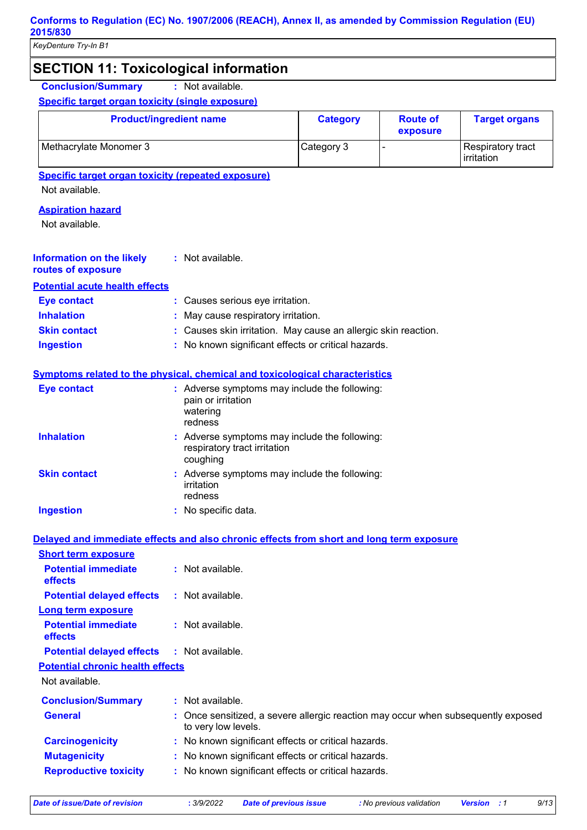### **SECTION 11: Toxicological information**

**Conclusion/Summary :** Not available.

#### **Specific target organ toxicity (single exposure)**

| <b>Product/ingredient name</b> | <b>Category</b> | <b>Route of</b><br>exposure | <b>Target organs</b>            |
|--------------------------------|-----------------|-----------------------------|---------------------------------|
| Methacrylate Monomer 3         | Category 3      |                             | Respiratory tract<br>irritation |

#### **Specific target organ toxicity (repeated exposure)**

Not available.

#### **Aspiration hazard**

Not available.

#### Not available. **: Information on the likely**

## **routes of exposure**

| <b>Potential acute health effects</b> |                                 |
|---------------------------------------|---------------------------------|
| <b>Eve contact</b>                    | • Causes serious eve irritation |

| <b>EVE CONTACT</b>  | . Gauses serious eye imitation.                                |
|---------------------|----------------------------------------------------------------|
| <b>Inhalation</b>   | : May cause respiratory irritation.                            |
| <b>Skin contact</b> | : Causes skin irritation. May cause an allergic skin reaction. |
| Ingestion           | : No known significant effects or critical hazards.            |

### **Symptoms related to the physical, chemical and toxicological characteristics**

| Eye contact         |   | : Adverse symptoms may include the following:<br>pain or irritation<br>watering<br>redness |
|---------------------|---|--------------------------------------------------------------------------------------------|
| <b>Inhalation</b>   |   | : Adverse symptoms may include the following:<br>respiratory tract irritation<br>coughing  |
| <b>Skin contact</b> |   | : Adverse symptoms may include the following:<br>irritation<br>redness                     |
| <b>Ingestion</b>    | ÷ | No specific data.                                                                          |

### **Delayed and immediate effects and also chronic effects from short and long term exposure**

| <b>Short term exposure</b>                   |                                                                                                          |
|----------------------------------------------|----------------------------------------------------------------------------------------------------------|
| <b>Potential immediate</b><br><b>effects</b> | $\therefore$ Not available.                                                                              |
| <b>Potential delayed effects</b>             | : Not available.                                                                                         |
| <b>Long term exposure</b>                    |                                                                                                          |
| <b>Potential immediate</b><br><b>effects</b> | $\therefore$ Not available.                                                                              |
| <b>Potential delayed effects</b>             | : Not available.                                                                                         |
| <b>Potential chronic health effects</b>      |                                                                                                          |
| Not available.                               |                                                                                                          |
| <b>Conclusion/Summary</b>                    | : Not available.                                                                                         |
| <b>General</b>                               | : Once sensitized, a severe allergic reaction may occur when subsequently exposed<br>to very low levels. |
| <b>Carcinogenicity</b>                       | : No known significant effects or critical hazards.                                                      |
| <b>Mutagenicity</b>                          | : No known significant effects or critical hazards.                                                      |
| <b>Reproductive toxicity</b>                 | : No known significant effects or critical hazards.                                                      |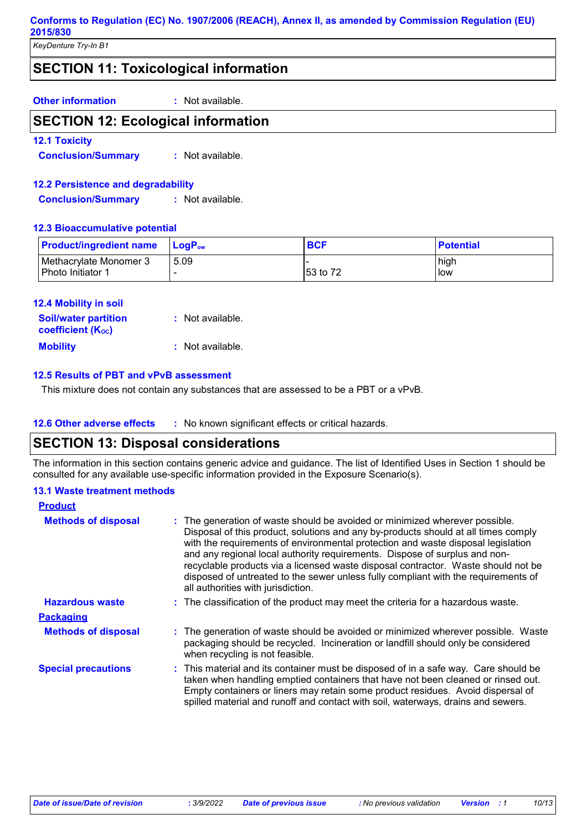*KeyDenture Try-In B1*

### **SECTION 11: Toxicological information**

**Other information :** Not available.

### **SECTION 12: Ecological information**

**12.1 Toxicity**

**Conclusion/Summary :** Not available.

#### **12.2 Persistence and degradability**

**Conclusion/Summary :** Not available.

#### **12.3 Bioaccumulative potential**

| <b>Product/ingredient name</b>              | <b>LogP</b> <sub>ow</sub> | <b>BCF</b> | <b>Potential</b> |
|---------------------------------------------|---------------------------|------------|------------------|
| Methacrylate Monomer 3<br>Photo Initiator 1 | 5.09                      | 53 to 72   | high<br>low      |

| <b>12.4 Mobility in soil</b> |                  |
|------------------------------|------------------|
| <b>Soil/water partition</b>  | : Not available. |
| <b>coefficient (Koc)</b>     |                  |
| <b>Mobility</b>              | : Not available. |

#### **12.5 Results of PBT and vPvB assessment**

This mixture does not contain any substances that are assessed to be a PBT or a vPvB.

**12.6 Other adverse effects** : No known significant effects or critical hazards.

### **SECTION 13: Disposal considerations**

The information in this section contains generic advice and guidance. The list of Identified Uses in Section 1 should be consulted for any available use-specific information provided in the Exposure Scenario(s).

#### **13.1 Waste treatment methods**

| <b>Product</b>             |                                                                                                                                                                                                                                                                                                                                                                                                                                                                                                                                                      |
|----------------------------|------------------------------------------------------------------------------------------------------------------------------------------------------------------------------------------------------------------------------------------------------------------------------------------------------------------------------------------------------------------------------------------------------------------------------------------------------------------------------------------------------------------------------------------------------|
| <b>Methods of disposal</b> | : The generation of waste should be avoided or minimized wherever possible.<br>Disposal of this product, solutions and any by-products should at all times comply<br>with the requirements of environmental protection and waste disposal legislation<br>and any regional local authority requirements. Dispose of surplus and non-<br>recyclable products via a licensed waste disposal contractor. Waste should not be<br>disposed of untreated to the sewer unless fully compliant with the requirements of<br>all authorities with jurisdiction. |
| <b>Hazardous waste</b>     | : The classification of the product may meet the criteria for a hazardous waste.                                                                                                                                                                                                                                                                                                                                                                                                                                                                     |
| <b>Packaging</b>           |                                                                                                                                                                                                                                                                                                                                                                                                                                                                                                                                                      |
| <b>Methods of disposal</b> | : The generation of waste should be avoided or minimized wherever possible. Waste<br>packaging should be recycled. Incineration or landfill should only be considered<br>when recycling is not feasible.                                                                                                                                                                                                                                                                                                                                             |
| <b>Special precautions</b> | : This material and its container must be disposed of in a safe way. Care should be<br>taken when handling emptied containers that have not been cleaned or rinsed out.<br>Empty containers or liners may retain some product residues. Avoid dispersal of<br>spilled material and runoff and contact with soil, waterways, drains and sewers.                                                                                                                                                                                                       |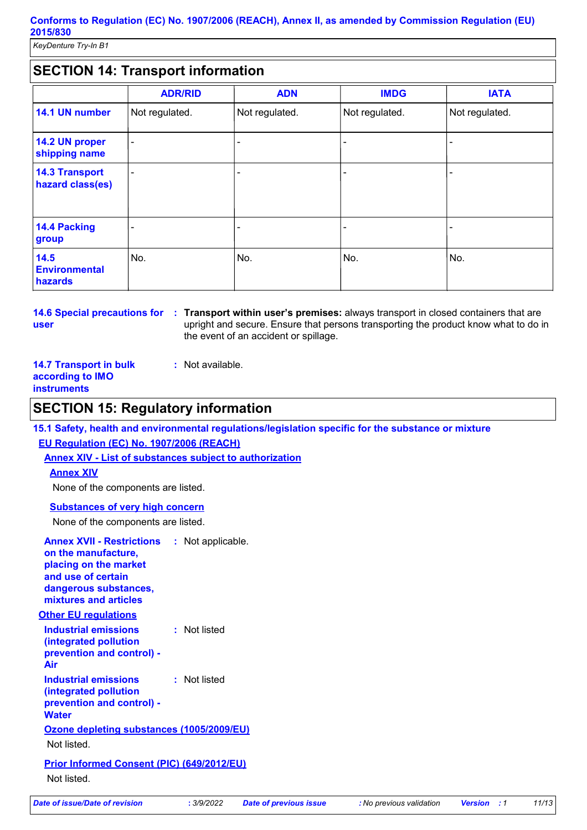*KeyDenture Try-In B1*

### **SECTION 14: Transport information**

|                                           | <b>ADR/RID</b> | <b>ADN</b>     | <b>IMDG</b>    | <b>IATA</b>    |
|-------------------------------------------|----------------|----------------|----------------|----------------|
| 14.1 UN number                            | Not regulated. | Not regulated. | Not regulated. | Not regulated. |
| 14.2 UN proper<br>shipping name           | ٠              |                |                |                |
| <b>14.3 Transport</b><br>hazard class(es) | ٠              |                |                |                |
| 14.4 Packing<br>group                     |                |                |                |                |
| 14.5<br><b>Environmental</b><br>hazards   | No.            | No.            | No.            | No.            |

**user**

**14.6 Special precautions for Transport within user's premises:** always transport in closed containers that are **:** upright and secure. Ensure that persons transporting the product know what to do in the event of an accident or spillage.

**14.7 Transport in bulk according to IMO instruments**

### **SECTION 15: Regulatory information**

**15.1 Safety, health and environmental regulations/legislation specific for the substance or mixture EU Regulation (EC) No. 1907/2006 (REACH)**

**Annex XIV - List of substances subject to authorization**

**:** Not available.

#### **Annex XIV**

None of the components are listed.

**Substances of very high concern**

None of the components are listed.

| <b>Annex XVII - Restrictions</b><br>on the manufacture,<br>placing on the market<br>and use of certain<br>dangerous substances,<br>mixtures and articles | : Not applicable. |
|----------------------------------------------------------------------------------------------------------------------------------------------------------|-------------------|
| <b>Other EU regulations</b>                                                                                                                              |                   |
| Industrial emissions<br>(integrated pollution<br>prevention and control) -<br>Air                                                                        | : Not listed      |
| <b>Industrial emissions</b><br>(integrated pollution<br>prevention and control) -<br><b>Water</b>                                                        | : Not listed      |
| Ozone depleting substances (1005/2009/EU)                                                                                                                |                   |
| Not listed.                                                                                                                                              |                   |
| <b>Prior Informed Consent (PIC) (649/2012/EU)</b>                                                                                                        |                   |
| Not listed.                                                                                                                                              |                   |
|                                                                                                                                                          |                   |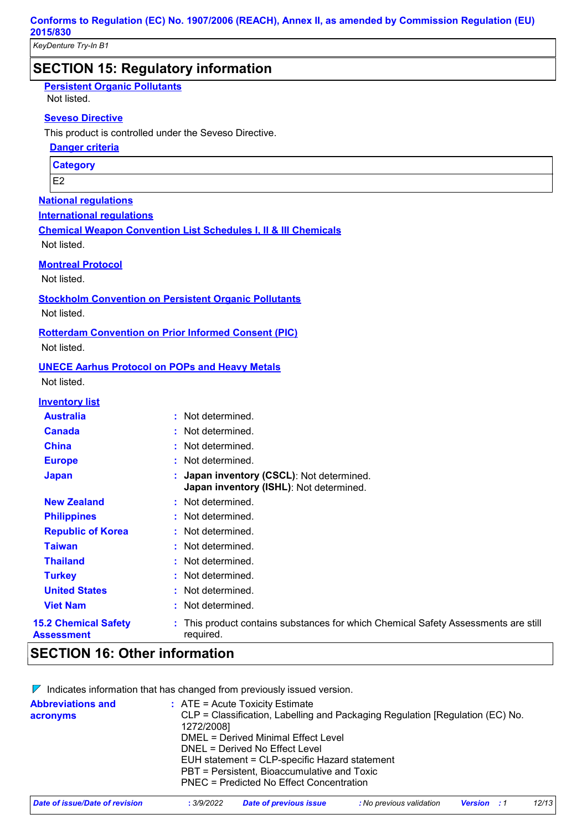*KeyDenture Try-In B1*

### **SECTION 15: Regulatory information**

**Persistent Organic Pollutants**

Not listed.

#### **Seveso Directive**

This product is controlled under the Seveso Directive.

**Danger criteria**

**Category**

E2

#### **National regulations**

**International regulations**

**Chemical Weapon Convention List Schedules I, II & III Chemicals**

Not listed.

**Montreal Protocol**

Not listed.

#### **Stockholm Convention on Persistent Organic Pollutants**

Not listed.

**Rotterdam Convention on Prior Informed Consent (PIC)**

Not listed.

#### **UNECE Aarhus Protocol on POPs and Heavy Metals**

Not listed.

#### **Inventory list**

| <b>Australia</b>                          | : Not determined.                                                                               |
|-------------------------------------------|-------------------------------------------------------------------------------------------------|
| <b>Canada</b>                             | : Not determined.                                                                               |
| <b>China</b>                              | : Not determined.                                                                               |
| <b>Europe</b>                             | : Not determined.                                                                               |
| <b>Japan</b>                              | : Japan inventory (CSCL): Not determined.<br>Japan inventory (ISHL): Not determined.            |
| <b>New Zealand</b>                        | : Not determined.                                                                               |
| <b>Philippines</b>                        | : Not determined.                                                                               |
| <b>Republic of Korea</b>                  | : Not determined.                                                                               |
| <b>Taiwan</b>                             | : Not determined.                                                                               |
| <b>Thailand</b>                           | : Not determined.                                                                               |
| <b>Turkey</b>                             | : Not determined.                                                                               |
| <b>United States</b>                      | : Not determined.                                                                               |
| <b>Viet Nam</b>                           | : Not determined.                                                                               |
| <b>15.2 Chemical Safety</b><br>Assessment | : This product contains substances for which Chemical Safety Assessments are still<br>required. |

### **SECTION 16: Other information**

 $\nabla$  Indicates information that has changed from previously issued version.

| <b>Abbreviations and</b><br>acronyms | $\therefore$ ATE = Acute Toxicity Estimate<br>CLP = Classification, Labelling and Packaging Regulation [Regulation (EC) No.<br>1272/2008]<br>DMEL = Derived Minimal Effect Level<br>DNEL = Derived No Effect Level |
|--------------------------------------|--------------------------------------------------------------------------------------------------------------------------------------------------------------------------------------------------------------------|
|                                      | EUH statement = CLP-specific Hazard statement<br>PBT = Persistent, Bioaccumulative and Toxic<br>PNEC = Predicted No Effect Concentration                                                                           |

| Date of issue/Date of revision | 3/9/2022 | <b>Date of previous issue</b> | : No previous validation | <b>Version</b> : 1 | 12/13 |
|--------------------------------|----------|-------------------------------|--------------------------|--------------------|-------|
|                                |          |                               |                          |                    |       |